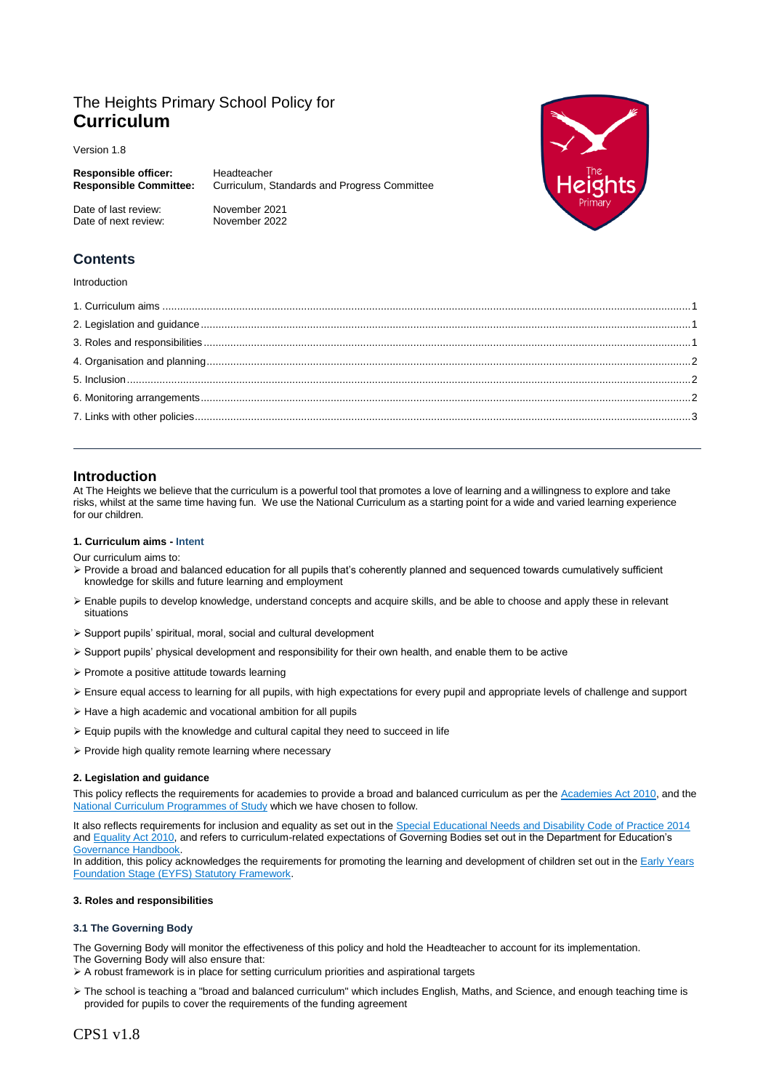# The Heights Primary School Policy for **Curriculum**

Date of next review: November 2022

Version 1.8

| <b>Responsible officer:</b>   | Headteacher                                  |
|-------------------------------|----------------------------------------------|
| <b>Responsible Committee:</b> | Curriculum, Standards and Progress Committee |
| Date of last review:          | November 2021                                |



## **Contents**

#### Introduction

### <span id="page-0-0"></span>**Introduction**

At The Heights we believe that the curriculum is a powerful tool that promotes a love of learning and a willingness to explore and take risks, whilst at the same time having fun. We use the National Curriculum as a starting point for a wide and varied learning experience for our children.

#### **1. Curriculum aims - Intent**

Our curriculum aims to:

- Provide a broad and balanced education for all pupils that's coherently planned and sequenced towards cumulatively sufficient knowledge for skills and future learning and employment
- Enable pupils to develop knowledge, understand concepts and acquire skills, and be able to choose and apply these in relevant situations
- Support pupils' spiritual, moral, social and cultural development
- Support pupils' physical development and responsibility for their own health, and enable them to be active
- $\triangleright$  Promote a positive attitude towards learning
- Ensure equal access to learning for all pupils, with high expectations for every pupil and appropriate levels of challenge and support
- $\triangleright$  Have a high academic and vocational ambition for all pupils
- $\triangleright$  Equip pupils with the knowledge and cultural capital they need to succeed in life
- $\triangleright$  Provide high quality remote learning where necessary

#### <span id="page-0-1"></span>**2. Legislation and guidance**

This policy reflects the requirements for academies to provide a broad and balanced curriculum as per the [Academies Act 2010,](http://www.legislation.gov.uk/ukpga/2010/32/section/1A) and the [National Curriculum Programmes of Study](https://www.gov.uk/government/collections/national-curriculum) which we have chosen to follow.

It also reflects requirements for inclusion and equality as set out in the [Special Educational Needs and Disability Code of Practice 2014](https://www.gov.uk/government/publications/send-code-of-practice-0-to-25) and [Equality Act 2010,](http://www.legislation.gov.uk/ukpga/2010/15/part/6/chapter/1) and refers to curriculum-related expectations of Governing Bodies set out in the Department for Education's Governance Handbook

In addition, this policy acknowledges the requirements for promoting the learning and development of children set out in th[e Early Years](https://www.gov.uk/government/publications/early-years-foundation-stage-framework--2) [Foundation Stage \(EYFS\) Statutory Framework.](https://www.gov.uk/government/publications/early-years-foundation-stage-framework--2)

#### <span id="page-0-2"></span>**3. Roles and responsibilities**

#### **3.1 The Governing Body**

The Governing Body will monitor the effectiveness of this policy and hold the Headteacher to account for its implementation. The Governing Body will also ensure that:

 $\triangleright$  A robust framework is in place for setting curriculum priorities and aspirational targets

 The school is teaching a "broad and balanced curriculum" which includes English, Maths, and Science, and enough teaching time is provided for pupils to cover the requirements of the funding agreement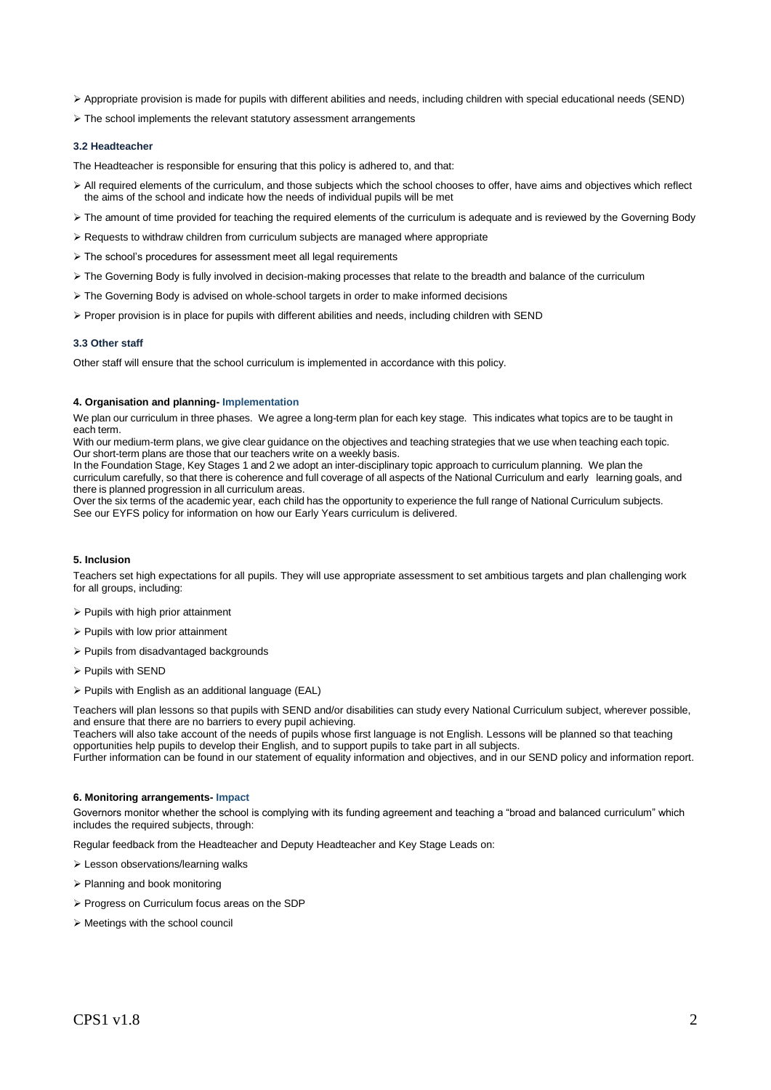Appropriate provision is made for pupils with different abilities and needs, including children with special educational needs (SEND)

 $\triangleright$  The school implements the relevant statutory assessment arrangements

#### **3.2 Headteacher**

The Headteacher is responsible for ensuring that this policy is adhered to, and that:

- All required elements of the curriculum, and those subjects which the school chooses to offer, have aims and objectives which reflect the aims of the school and indicate how the needs of individual pupils will be met
- > The amount of time provided for teaching the required elements of the curriculum is adequate and is reviewed by the Governing Body
- $\triangleright$  Requests to withdraw children from curriculum subjects are managed where appropriate
- The school's procedures for assessment meet all legal requirements
- > The Governing Body is fully involved in decision-making processes that relate to the breadth and balance of the curriculum
- The Governing Body is advised on whole-school targets in order to make informed decisions
- Proper provision is in place for pupils with different abilities and needs, including children with SEND

#### **3.3 Other staff**

Other staff will ensure that the school curriculum is implemented in accordance with this policy.

#### <span id="page-1-0"></span>**4. Organisation and planning- Implementation**

We plan our curriculum in three phases. We agree a long-term plan for each key stage. This indicates what topics are to be taught in each term.

With our medium-term plans, we give clear guidance on the objectives and teaching strategies that we use when teaching each topic. Our short-term plans are those that our teachers write on a weekly basis.

In the Foundation Stage, Key Stages 1 and 2 we adopt an inter-disciplinary topic approach to curriculum planning. We plan the curriculum carefully, so that there is coherence and full coverage of all aspects of the National Curriculum and early learning goals, and there is planned progression in all curriculum areas.

Over the six terms of the academic year, each child has the opportunity to experience the full range of National Curriculum subjects. See our EYFS policy for information on how our Early Years curriculum is delivered.

#### <span id="page-1-1"></span>**5. Inclusion**

Teachers set high expectations for all pupils. They will use appropriate assessment to set ambitious targets and plan challenging work for all groups, including:

- $\triangleright$  Pupils with high prior attainment
- $\triangleright$  Pupils with low prior attainment
- $\triangleright$  Pupils from disadvantaged backgrounds
- > Pupils with SEND
- $\triangleright$  Pupils with English as an additional language (EAL)

Teachers will plan lessons so that pupils with SEND and/or disabilities can study every National Curriculum subject, wherever possible, and ensure that there are no barriers to every pupil achieving.

Teachers will also take account of the needs of pupils whose first language is not English. Lessons will be planned so that teaching opportunities help pupils to develop their English, and to support pupils to take part in all subjects.

Further information can be found in our statement of equality information and objectives, and in our SEND policy and information report.

#### <span id="page-1-2"></span>**6. Monitoring arrangements- Impact**

Governors monitor whether the school is complying with its funding agreement and teaching a "broad and balanced curriculum" which includes the required subjects, through:

Regular feedback from the Headteacher and Deputy Headteacher and Key Stage Leads on:

- Lesson observations/learning walks
- Planning and book monitoring
- Progress on Curriculum focus areas on the SDP
- <span id="page-1-3"></span> $\triangleright$  Meetings with the school council